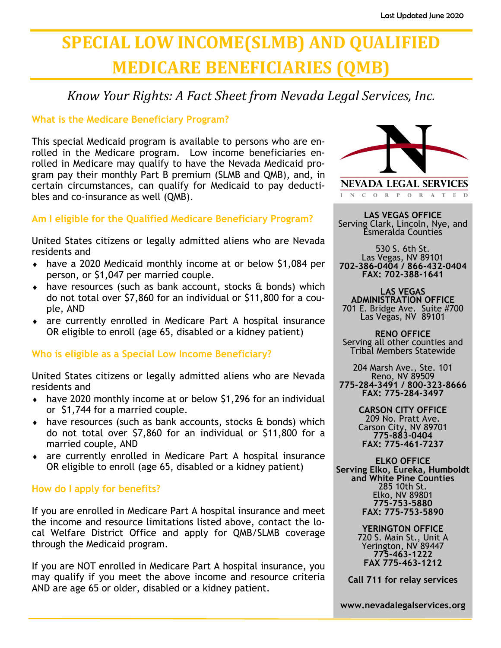# **SPECIAL LOW INCOME(SLMB) AND QUALIFIED MEDICARE BENEFICIARIES (QMB)**

*Know Your Rights: A Fact Sheet from Nevada Legal Services, Inc.*

# **What is the Medicare Beneficiary Program?**

This special Medicaid program is available to persons who are enrolled in the Medicare program. Low income beneficiaries enrolled in Medicare may qualify to have the Nevada Medicaid program pay their monthly Part B premium (SLMB and QMB), and, in certain circumstances, can qualify for Medicaid to pay deductibles and co-insurance as well (QMB).

# **Am I eligible for the Qualified Medicare Beneficiary Program?**

United States citizens or legally admitted aliens who are Nevada residents and

- have a 2020 Medicaid monthly income at or below \$1,084 per person, or \$1,047 per married couple.
- $\bullet$  have resources (such as bank account, stocks  $\theta$  bonds) which do not total over \$7,860 for an individual or \$11,800 for a couple, AND
- are currently enrolled in Medicare Part A hospital insurance OR eligible to enroll (age 65, disabled or a kidney patient)

# **Who is eligible as a Special Low Income Beneficiary?**

United States citizens or legally admitted aliens who are Nevada residents and

- have 2020 monthly income at or below \$1,296 for an individual or \$1,744 for a married couple.
- $\bullet$  have resources (such as bank accounts, stocks  $\theta$  bonds) which do not total over \$7,860 for an individual or \$11,800 for a married couple, AND
- are currently enrolled in Medicare Part A hospital insurance OR eligible to enroll (age 65, disabled or a kidney patient)

# **How do I apply for benefits?**

If you are enrolled in Medicare Part A hospital insurance and meet the income and resource limitations listed above, contact the local Welfare District Office and apply for QMB/SLMB coverage through the Medicaid program.

If you are NOT enrolled in Medicare Part A hospital insurance, you may qualify if you meet the above income and resource criteria AND are age 65 or older, disabled or a kidney patient.



N C O R P O R A T E D

**LAS VEGAS OFFICE** Serving Clark, Lincoln, Nye, and Esmeralda Counties

530 S. 6th St. Las Vegas, NV 89101 **702-386-0404 / 866-432-0404 FAX: 702-388-1641**

**LAS VEGAS ADMINISTRATION OFFICE** 701 E. Bridge Ave. Suite #700 Las Vegas, NV 89101

**RENO OFFICE** Serving all other counties and Tribal Members Statewide

204 Marsh Ave., Ste. 101 Reno, NV 89509 **775-284-3491 / 800-323-8666 FAX: 775-284-3497**

> **CARSON CITY OFFICE** 209 No. Pratt Ave. Carson City, NV 89701 **775-883-0404 FAX: 775-461-7237**

**ELKO OFFICE Serving Elko, Eureka, Humboldt and White Pine Counties** 285 10th St. Elko, NV 89801 **775-753-5880 FAX: 775-753-5890**

> **YERINGTON OFFICE** 720 S. Main St., Unit A Yerington, NV 89447 **775-463-1222 FAX 775-463-1212**

**Call 711 for relay services**

**www.nevadalegalservices.org**